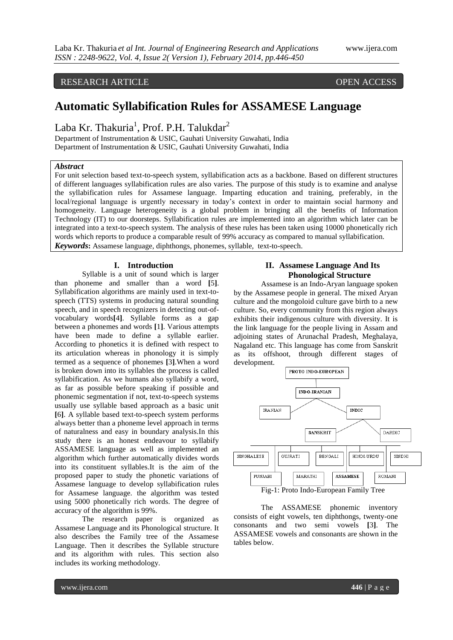# RESEARCH ARTICLE OPEN ACCESS

# **Automatic Syllabification Rules for ASSAMESE Language**

Laba Kr. Thakuria<sup>1</sup>, Prof. P.H. Talukdar<sup>2</sup>

Department of Instrumentation & USIC, Gauhati University Guwahati, India Department of Instrumentation & USIC, Gauhati University Guwahati, India

#### *Abstract*

For unit selection based text-to-speech system, syllabification acts as a backbone. Based on different structures of different languages syllabification rules are also varies. The purpose of this study is to examine and analyse the syllabification rules for Assamese language. Imparting education and training, preferably, in the local/regional language is urgently necessary in today's context in order to maintain social harmony and homogeneity. Language heterogeneity is a global problem in bringing all the benefits of Information Technology (IT) to our doorsteps. Syllabification rules are implemented into an algorithm which later can be integrated into a text-to-speech system. The analysis of these rules has been taken using 10000 phonetically rich words which reports to produce a comparable result of 99% accuracy as compared to manual syllabification. *Keywords***:** Assamese language, diphthongs, phonemes, syllable, text-to-speech.

**I. Introduction**

Syllable is a unit of sound which is larger than phoneme and smaller than a word **[**5**]**. Syllabification algorithms are mainly used in text-tospeech (TTS) systems in producing natural sounding speech, and in speech recognizers in detecting out-ofvocabulary words**[**4**]**. Syllable forms as a gap between a phonemes and words **[**1**]**. Various attempts have been made to define a syllable earlier. According to phonetics it is defined with respect to its articulation whereas in phonology it is simply termed as a sequence of phonemes **[**3**]**.When a word is broken down into its syllables the process is called syllabification. As we humans also syllabify a word, as far as possible before speaking if possible and phonemic segmentation if not, text-to-speech systems usually use syllable based approach as a basic unit **[**6**]**. A syllable based text-to-speech system performs always better than a phoneme level approach in terms of naturalness and easy in boundary analysis.In this study there is an honest endeavour to syllabify ASSAMESE language as well as implemented an algorithm which further automatically divides words into its constituent syllables.It is the aim of the proposed paper to study the phonetic variations of Assamese language to develop syllabification rules for Assamese language. the algorithm was tested using 5000 phonetically rich words. The degree of accuracy of the algorithm is 99%.

The research paper is organized as Assamese Language and its Phonological structure. It also describes the Family tree of the Assamese Language. Then it describes the Syllable structure and its algorithm with rules. This section also includes its working methodology.

## **II. Assamese Language And Its Phonological Structure**

Assamese is an Indo-Aryan language spoken by the Assamese people in general. The mixed Aryan culture and the mongoloid culture gave birth to a new culture. So, every community from this region always exhibits their indigenous culture with diversity. It is the link language for the people living in Assam and adjoining states of Arunachal Pradesh, Meghalaya, Nagaland etc. This language has come from Sanskrit as its offshoot, through different stages of development.



The ASSAMESE phonemic inventory consists of eight vowels, ten diphthongs, twenty-one consonants and two semi vowels **[**3**]**. The ASSAMESE vowels and consonants are shown in the tables below.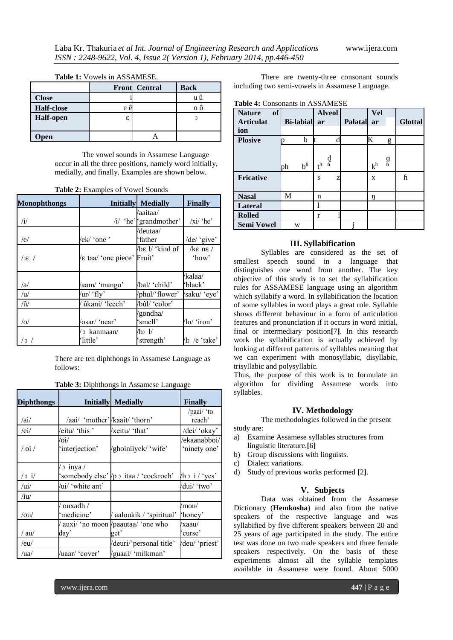| TUDIC 1. YOWCIS III / WO/MYILOL. |     |                      |             |  |
|----------------------------------|-----|----------------------|-------------|--|
|                                  |     | <b>Front</b> Central | <b>Back</b> |  |
| <b>Close</b>                     |     |                      |             |  |
| <b>Half-close</b>                | e ê |                      | οõ          |  |
| <b>Half-open</b>                 | 3   |                      |             |  |
|                                  |     |                      |             |  |
| pen                              |     |                      |             |  |

**Table 1:** Vowels in ASSAMESE.

The vowel sounds in Assamese Language occur in all the three positions, namely word initially, medially, and finally. Examples are shown below.

| <b>Monophthongs</b> |                          | <b>Initially Medially</b>          | <b>Finally</b>            |
|---------------------|--------------------------|------------------------------------|---------------------------|
| $\mathcal{N}$       |                          | /aaitaa/<br>/i/ 'he' 'grandmother' | $\overline{xi}$ 'he'      |
| /e/                 | /ek/ 'one'               | /deutaa/<br>'father                | /de/ 'give'               |
| $\sqrt{\epsilon}$   | Etaal 'one piece' Fruit' | $\sqrt{b\epsilon}$ l/ 'kind of     | $k\epsilon$ nε /<br>'how' |
| /a                  | /aam/ 'mango'            | /bal/ 'child'                      | /kalaa/<br>'black'        |
| /u/                 | /ur/ 'fly'               | /phul/'flower'                     | /saku/ 'eye'              |
| $\hat{u}$           | ûkani/ 'leech'           | /bûl/ 'color'                      |                           |
| /0/                 | 'osar/ 'near'            | 'gondha/<br>'smell'                | /lo/ 'iron'               |
| / c /               | 3 kanmaan/<br>'little'   | /bɔ 1/<br>strength'                | /lɔ /e 'take'             |

There are ten diphthongs in Assamese Language as follows:

|  |  | Table 3: Diphthongs in Assamese Language |  |
|--|--|------------------------------------------|--|
|--|--|------------------------------------------|--|

| <b>Diphthongs</b>                           |                                            | <b>Initially Medially</b>                  | <b>Finally</b>               |
|---------------------------------------------|--------------------------------------------|--------------------------------------------|------------------------------|
|                                             |                                            |                                            | /paai/ 'to                   |
| /ai/                                        | /aai/ 'mother'/kaait/ 'thorn'              |                                            | reach'                       |
| /ei/                                        | eitu/ 'this'                               | /xeitu/ 'that'                             | /dei/ 'okay'                 |
| $\frac{1}{\alpha}$                          | $\overline{\mathrm{o}i}$<br>'interjection' | 'ghoiniiyek/ 'wife'                        | /ekaanabboi/<br>'ninety one' |
| $/$ 0 $i/$                                  | $\frac{1}{2}$ inya /                       | 'somebody else'/p 3 itaa/ 'cockroch'       | $/h \circ i / 'yes'$         |
| $\overline{\overline{\mathbf{u}}^{\prime}}$ | 'ui/ 'white ant'                           |                                            | 'dui/ 'two'                  |
| /iu/                                        |                                            |                                            |                              |
| /ou/                                        | ouxadh $\sqrt{ }$<br>medicine'             | / aaloukik / 'spiritual'                   | /mou/<br>'honey'             |
| $/$ au $/$                                  | dav'                                       | 'auxi/ 'no moon /paautaa/ 'one who<br>get' | /xaau/<br>curse'             |
| /eu/                                        |                                            | 'deuri/'personal title'                    | 'deu/ 'priest'               |
| /ua/                                        | /uaar/ 'cover'                             | 'guaal/ 'milkman'                          |                              |

There are twenty-three consonant sounds including two semi-vowels in Assamese Language.

**Table 4:** Consonants in ASSAMESE

| of<br><b>Nature</b> |                       | <b>Alveol</b>     |                | Vel     |                |
|---------------------|-----------------------|-------------------|----------------|---------|----------------|
| <b>Articulat</b>    | <b>Bi-labial</b>      | ar                | <b>Palatal</b> | ar      | <b>Glottal</b> |
| ion                 |                       |                   |                |         |                |
| <b>Plosive</b>      | b                     |                   |                | K       | g              |
|                     |                       |                   |                |         |                |
|                     |                       | d<br>fi           |                | g<br>fi |                |
|                     | $b^{\text{fi}}$<br>ph | ${\rm t}^{\rm h}$ |                | $k^h$   |                |
| <b>Fricative</b>    |                       | S<br>Z            |                | X       | ĥ              |
|                     |                       |                   |                |         |                |
| <b>Nasal</b>        | М                     | n                 |                | ŋ       |                |
| Lateral             |                       |                   |                |         |                |
| <b>Rolled</b>       |                       | r                 |                |         |                |
| <b>Semi Vowel</b>   | W                     |                   |                |         |                |

#### **III. Syllabification**

Syllables are considered as the set of smallest speech sound in a language that distinguishes one word from another. The key objective of this study is to set the syllabification rules for ASSAMESE language using an algorithm which syllabify a word. In syllabification the location of some syllables in word plays a great role. Syllable shows different behaviour in a form of articulation features and pronunciation if it occurs in word initial, final or intermediary position**[**7**]**. In this research work the syllabification is actually achieved by looking at different patterns of syllables meaning that we can experiment with monosyllabic, disyllabic, trisyllabic and polysyllabic.

Thus, the purpose of this work is to formulate an algorithm for dividing Assamese words into syllables.

#### **IV. Methodology**

The methodologies followed in the present

- study are:
- a) Examine Assamese syllables structures from linguistic literature.**[**6**]**
- b) Group discussions with linguists.
- c) Dialect variations.
- d) Study of previous works performed **[**2**]**.

#### **V. Subjects**

Data was obtained from the Assamese Dictionary (**Hemkosha**) and also from the native speakers of the respective language and was syllabified by five different speakers between 20 and 25 years of age participated in the study. The entire test was done on two male speakers and three female speakers respectively. On the basis of these experiments almost all the syllable templates available in Assamese were found. About 5000

www.ijera.com **447** | P a g e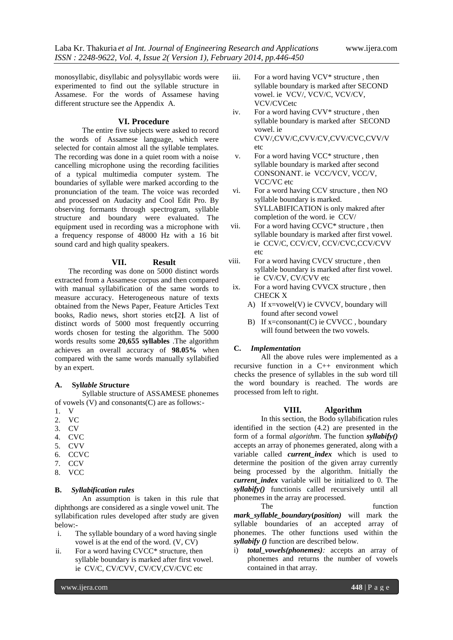monosyllabic, disyllabic and polysyllabic words were experimented to find out the syllable structure in Assamese. For the words of Assamese having different structure see the Appendix A.

#### **VI. Procedure**

The entire five subjects were asked to record the words of Assamese language, which were selected for contain almost all the syllable templates. The recording was done in a quiet room with a noise cancelling microphone using the recording facilities of a typical multimedia computer system. The boundaries of syllable were marked according to the pronunciation of the team. The voice was recorded and processed on Audacity and Cool Edit Pro. By observing formants through spectrogram, syllable structure and boundary were evaluated. The equipment used in recording was a microphone with a frequency response of 48000 Hz with a 16 bit sound card and high quality speakers.

#### **VII. Result**

The recording was done on 5000 distinct words extracted from a Assamese corpus and then compared with manual syllabification of the same words to measure accuracy. Heterogeneous nature of texts obtained from the News Paper, Feature Articles Text books, Radio news, short stories etc**[**2**]**. A list of distinct words of 5000 most frequently occurring words chosen for testing the algorithm. The 5000 words results some **20,655 syllables** .The algorithm achieves an overall accuracy of **98.05%** when compared with the same words manually syllabified by an expert.

#### **A. Syl***lable Stru***cture**

Syllable structure of ASSAMESE phonemes of vowels (V) and consonants(C) are as follows:-

- 1. V
- 2. VC
- 3. CV
- 4. CVC
- 5. CVV 6. CCVC
- 7. CCV
- 8. VCC
- 

# **B.** *Syllabification rules*

An assumption is taken in this rule that diphthongs are considered as a single vowel unit. The syllabification rules developed after study are given below:-

- i. The syllable boundary of a word having single vowel is at the end of the word. (V, CV)
- ii. For a word having CVCC\* structure, then syllable boundary is marked after first vowel. ie CV/C, CV/CVV, CV/CV,CV/CVC etc
- iii. For a word having VCV<sup>\*</sup> structure, then syllable boundary is marked after SECOND vowel. ie VCV/, VCV/C, VCV/CV, VCV/CVCetc
- iv. For a word having CVV\* structure , then syllable boundary is marked after SECOND vowel. ie CVV/,CVV/C,CVV/CV,CVV/CVC,CVV/V etc
- v. For a word having VCC\* structure , then syllable boundary is marked after second CONSONANT. ie VCC/VCV, VCC/V, VCC/VC etc
- vi. For a word having CCV structure , then NO syllable boundary is marked. SYLLABIFICATION is only makred after completion of the word. ie CCV/
- vii. For a word having CCVC\* structure , then syllable boundary is marked after first vowel. ie CCV/C, CCV/CV, CCV/CVC,CCV/CVV etc
- viii. For a word having CVCV structure , then syllable boundary is marked after first vowel. ie CV/CV, CV/CVV etc
	- ix. For a word having CVVCX structure , then CHECK X
		- A) If x=vowel(V) ie CVVCV, boundary will found after second vowel
		- B) If x=consonant(C) ie CVVCC, boundary will found between the two vowels.

#### **C.** *Implementation*

All the above rules were implemented as a recursive function in a C++ environment which checks the presence of syllables in the sub word till the word boundary is reached. The words are processed from left to right.

#### **VIII. Algorithm**

In this section, the Bodo syllabification rules identified in the section (4.2) are presented in the form of a formal *algorithm*. The function *syllabify()*  accepts an array of phonemes generated, along with a variable called *current index* which is used to determine the position of the given array currently being processed by the algorithm. Initially the *current\_index* variable will be initialized to 0. The *syllabify()* functionis called recursively until all phonemes in the array are processed.

The function *mark\_syllable\_boundary***(***position)* will mark the syllable boundaries of an accepted array of phonemes. The other functions used within the *syllabify ()* function are described below.

i) *total\_vowels(phonemes):* accepts an array of phonemes and returns the number of vowels contained in that array.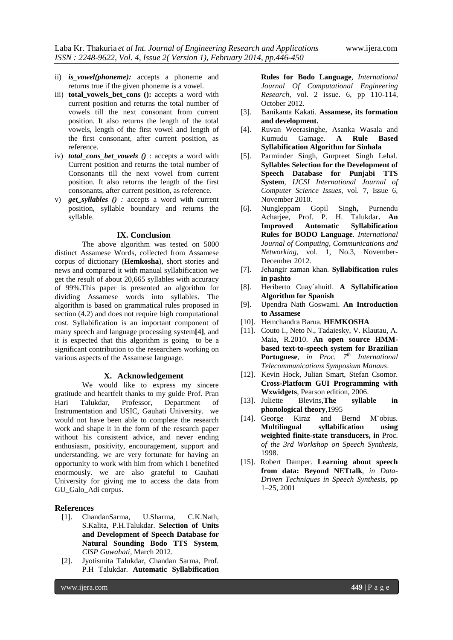- ii) *is\_vowel(phoneme):* accepts a phoneme and returns true if the given phoneme is a vowel.
- iii) **total\_vowels\_bet\_cons ():** accepts a word with current position and returns the total number of vowels till the next consonant from current position. It also returns the length of the total vowels, length of the first vowel and length of the first consonant, after current position, as reference.
- iv) *total\_cons\_bet\_vowels ()* : accepts a word with Current position and returns the total number of Consonants till the next vowel from current position. It also returns the length of the first consonants, after current position, as reference.
- v) *get\_syllables () :* accepts a word with current position, syllable boundary and returns the syllable.

#### **IX. Conclusion**

The above algorithm was tested on 5000 distinct Assamese Words, collected from Assamese corpus of dictionary (**Hemkosha**), short stories and news and compared it with manual syllabification we get the result of about 20,665 syllables with accuracy of 99%.This paper is presented an algorithm for dividing Assamese words into syllables. The algorithm is based on grammatical rules proposed in section (4.2) and does not require high computational cost. Syllabification is an important component of many speech and language processing system**[**4**]**, and it is expected that this algorithm is going to be a significant contribution to the researchers working on various aspects of the Assamese language.

### **X. Acknowledgement**

We would like to express my sincere gratitude and heartfelt thanks to my guide Prof. Pran Hari Talukdar, Professor, Department of Instrumentation and USIC, Gauhati University. we would not have been able to complete the research work and shape it in the form of the research paper without his consistent advice, and never ending enthusiasm, positivity, encouragement, support and understanding. we are very fortunate for having an opportunity to work with him from which I benefited enormously. we are also grateful to Gauhati University for giving me to access the data from GU\_Galo\_Adi corpus.

#### **References**

- [1]. ChandanSarma, U.Sharma, C.K.Nath, S.Kalita, P.H.Talukdar. **Selection of Units and Development of Speech Database for Natural Sounding Bodo TTS System**, *CISP Guwahati*, March 2012.
- [2]. Jyotismita Talukdar, Chandan Sarma, Prof. P.H Talukdar. **Automatic Syllabification**

**Rules for Bodo Language**, *International Journal Of Computational Engineering Research*, vol. 2 issue. 6, pp 110-114, October 2012.

- [3]. Banikanta Kakati. **Assamese, its formation and development.**
- [4]. Ruvan Weerasinghe, Asanka Wasala and Kumudu Gamage. **A Rule Based Syllabification Algorithm for Sinhala**
- [5]. Parminder Singh, Gurpreet Singh Lehal. **Syllables Selection for the Development of Speech Database for Punjabi TTS System**, *IJCSI International Journal of Computer Science Issues*, vol. 7, Issue 6, November 2010.
- [6]. Nungleppam Gopil Singh**,** Purnendu Acharjee, Prof. P. H. Talukdar**. An Improved Automatic Syllabification Rules for BODO Language***. International Journal of Computing, Communications and Networking,* vol. 1, No.3, November-December 2012.
- [7]. Jehangir zaman khan*.* **Syllabification rules in pashto**
- [8]. Heriberto Cuay´ahuitl. **A Syllabification Algorithm for Spanish**
- [9]. Upendra Nath Goswami. **An Introduction to Assamese**
- [10]. Hemchandra Barua. **HEMKOSHA**
- [11]. Couto I., Neto N., Tadaiesky, V. Klautau, A. Maia, R.2010. **An open source HMMbased text-to-speech system for Brazilian Portuguese**, *in Proc. 7th International Telecommunications Symposium Manaus*.
- [12]. Kevin Hock, Julian Smart, Stefan Csomor. **Cross-Platform GUI Programming with Wxwidgets**, Pearson edition, 2006.
- [13]. Juliette Blevins,**The syllable in phonological theory**,1995
- [14]. George Kiraz and Bernd M¨obius. **Multilingual syllabification using weighted finite-state transducers, i**n Proc*. of the 3rd Workshop on Speech Synthesis*, 1998.
- [15]. Robert Damper. **Learning about speech from data: Beyond NETtalk***, in Data-Driven Techniques in Speech Synthesis*, pp 1–25, 2001